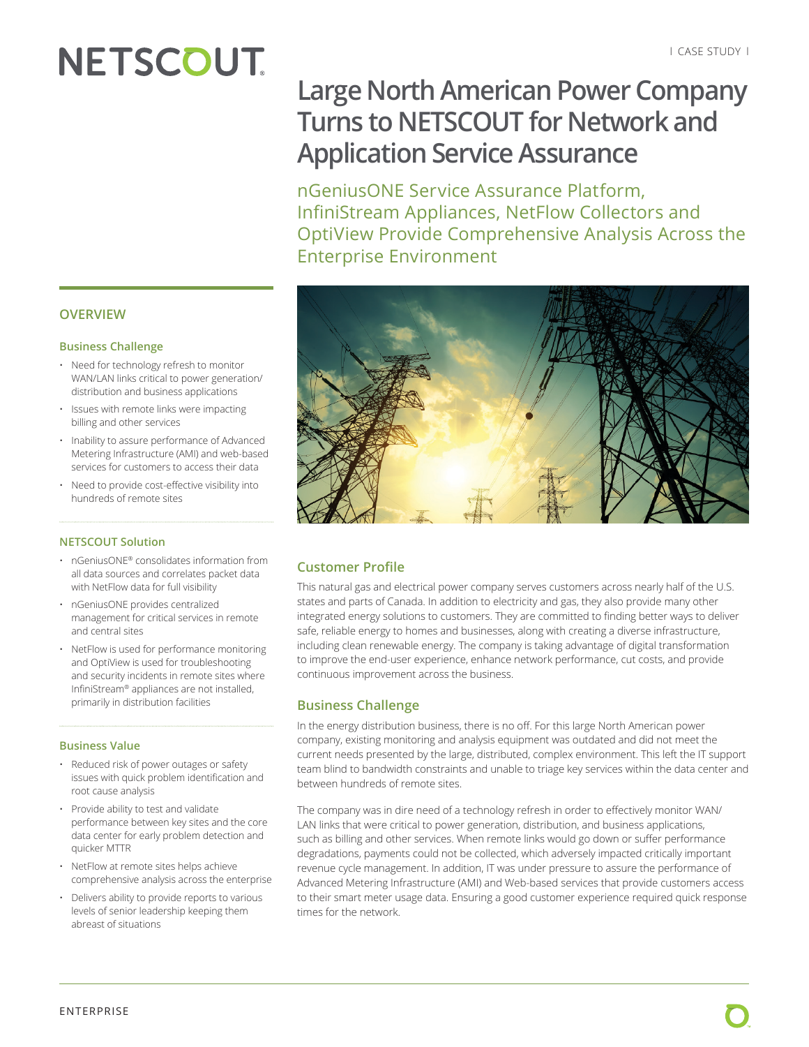# **NETSCOUT**

# **Large North American Power Company Turns to NETSCOUT for Network and Application Service Assurance**

nGeniusONE Service Assurance Platform, InfiniStream Appliances, NetFlow Collectors and OptiView Provide Comprehensive Analysis Across the Enterprise Environment



## **Customer Profile**

This natural gas and electrical power company serves customers across nearly half of the U.S. states and parts of Canada. In addition to electricity and gas, they also provide many other integrated energy solutions to customers. They are committed to finding better ways to deliver safe, reliable energy to homes and businesses, along with creating a diverse infrastructure, including clean renewable energy. The company is taking advantage of digital transformation to improve the end-user experience, enhance network performance, cut costs, and provide continuous improvement across the business.

## **Business Challenge**

In the energy distribution business, there is no off. For this large North American power company, existing monitoring and analysis equipment was outdated and did not meet the current needs presented by the large, distributed, complex environment. This left the IT support team blind to bandwidth constraints and unable to triage key services within the data center and between hundreds of remote sites.

The company was in dire need of a technology refresh in order to effectively monitor WAN/ LAN links that were critical to power generation, distribution, and business applications, such as billing and other services. When remote links would go down or suffer performance degradations, payments could not be collected, which adversely impacted critically important revenue cycle management. In addition, IT was under pressure to assure the performance of Advanced Metering Infrastructure (AMI) and Web-based services that provide customers access to their smart meter usage data. Ensuring a good customer experience required quick response times for the network.

### **OVERVIEW**

#### **Business Challenge**

- Need for technology refresh to monitor WAN/LAN links critical to power generation/ distribution and business applications
- Issues with remote links were impacting billing and other services
- Inability to assure performance of Advanced Metering Infrastructure (AMI) and web-based services for customers to access their data
- Need to provide cost-effective visibility into hundreds of remote sites

#### **NETSCOUT Solution**

- nGeniusONE® consolidates information from all data sources and correlates packet data with NetFlow data for full visibility
- nGeniusONE provides centralized management for critical services in remote and central sites
- NetFlow is used for performance monitoring and OptiView is used for troubleshooting and security incidents in remote sites where InfiniStream® appliances are not installed, primarily in distribution facilities

#### **Business Value**

- Reduced risk of power outages or safety issues with quick problem identification and root cause analysis
- Provide ability to test and validate performance between key sites and the core data center for early problem detection and quicker MTTR
- NetFlow at remote sites helps achieve comprehensive analysis across the enterprise
- Delivers ability to provide reports to various levels of senior leadership keeping them abreast of situations